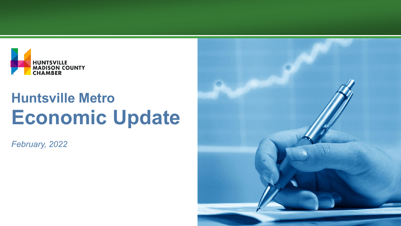

*February, 2022*

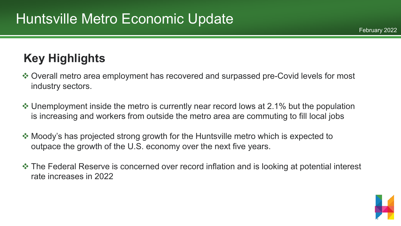#### **Key Highlights**

- Overall metro area employment has recovered and surpassed pre-Covid levels for most industry sectors.
- ❖ Unemployment inside the metro is currently near record lows at 2.1% but the population is increasing and workers from outside the metro area are commuting to fill local jobs
- Moody's has projected strong growth for the Huntsville metro which is expected to outpace the growth of the U.S. economy over the next five years.
- $\cdot$  **The Federal Reserve is concerned over record inflation and is looking at potential interest** rate increases in 2022



February 2022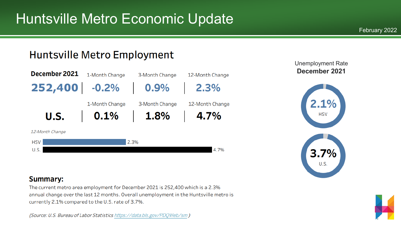#### **Huntsville Metro Employment**



#### Unemployment Rate **December 2021**



#### **Summary:**

The current metro area employment for December 2021 is 252,400 which is a 2.3% annual change over the last 12 months. Overall unemployment in the Huntsville metro is currently 2.1% compared to the U.S. rate of 3.7%.

(Source: U.S. Bureau of Labor Statistics https://data.bls.gov/PDQWeb/sm)

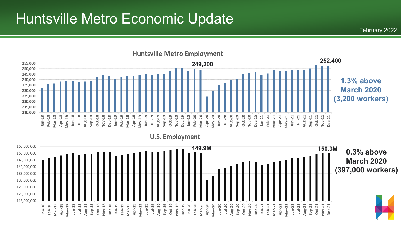

**U.S. Employment** 

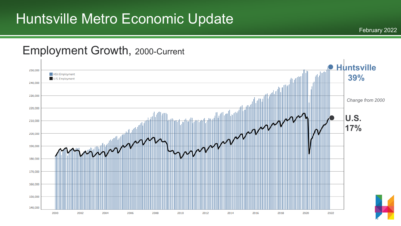February 2022

#### Employment Growth, 2000-Current

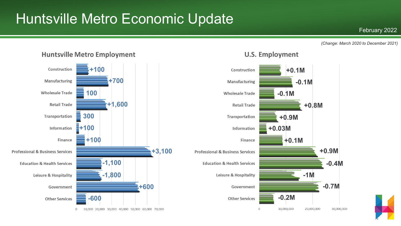#### **U.S. Employment Huntsville Metro Employment** Construction **+100 +0.1M** Construction Manufacturing **+700 Manufacturing -0.1M 100 Wholesale Trade Wholesale Trade -0.1M Retail Trade +1,600 Retail Trade +0.8M** Transportation **300** Transportation **+0.9M +100** Information **+0.03M** Information **+100 +0.1M** Finance Finance **+3,100 +0.9M Professional & Business Services Professional & Business Services -1,100 Education & Health Services -0.4M Education & Health Services -1M -1,800** Leisure & Hospitality Leisure & Hospitality **-0.7M +600** Government Government **-0.2M -600 Other Services Other Services**  $\circ$ 10,000,000 20,000,000 30,000,000  $\circ$ 10,000 20,000 30,000 40,000 50,000 60,000 70,000



#### February 2022

*(Change: March 2020 to December 2021)*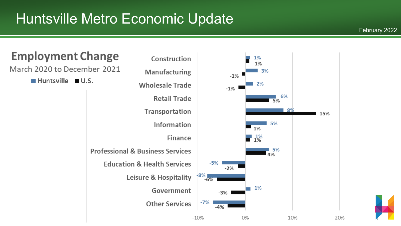#### February 2022



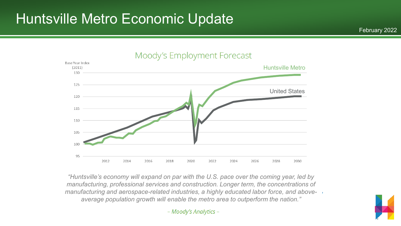

*"Huntsville's economy will expand on par with the U.S. pace over the coming year, led by manufacturing, professional services and construction. Longer term, the concentrations of manufacturing and aerospace-related industries, a highly educated labor force, and aboveaverage population growth will enable the metro area to outperform the nation."*

- Moody's Analytics -

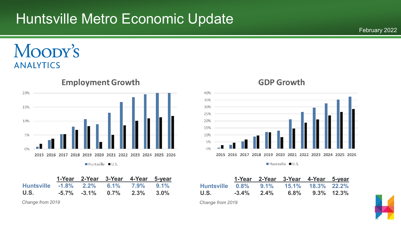#### MOODY'S **ANALYTICS**



|                                      |  | 1-Year 2-Year 3-Year 4-Year 5-year |  |
|--------------------------------------|--|------------------------------------|--|
| Huntsville -1.8% 2.2% 6.1% 7.9% 9.1% |  |                                    |  |
| U.S.                                 |  | $-5.7\%$ $-3.1\%$ 0.7% 2.3% 3.0%   |  |

*Change from 2019*

#### **GDP Growth** 40% 35% 30% 25% 20% 15% 10% 5%  $0%$ 2015 2016 2017 2018 2019 2020 2021 2022 2023 2024 2025 2026

 $\blacksquare$  Huntsville  $\blacksquare$  U.S.

|                                        |               | 1-Year 2-Year 3-Year 4-Year 5-year |               |
|----------------------------------------|---------------|------------------------------------|---------------|
| Huntsville 0.8% 9.1% 15.1% 18.3% 22.2% |               |                                    |               |
| U.S.                                   | $-3.4\%$ 2.4% | 6.8%                               | $9.3\%$ 12.3% |

*Change from 2019*

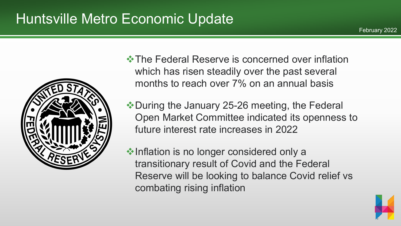

 $\cdot$  **The Federal Reserve is concerned over inflation** which has risen steadily over the past several months to reach over 7% on an annual basis

◆ During the January 25-26 meeting, the Federal Open Market Committee indicated its openness to future interest rate increases in 2022

 $\triangle$ **Inflation is no longer considered only a** transitionary result of Covid and the Federal Reserve will be looking to balance Covid relief vs combating rising inflation



February 2022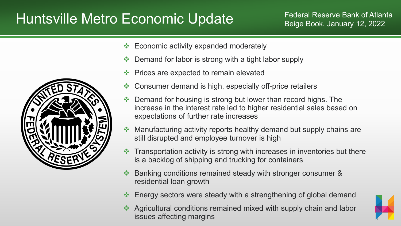## Huntsville Metro Economic Update Federal Reserve Bank of Atlanta

- $\div$  Economic activity expanded moderately
- $\triangle$  Demand for labor is strong with a tight labor supply
- **Example 25 Prices are expected to remain elevated**
- **❖** Consumer demand is high, especially off-price retailers
- ◆ Demand for housing is strong but lower than record highs. The increase in the interest rate led to higher residential sales based on expectations of further rate increases
- ◆ Manufacturing activity reports healthy demand but supply chains are still disrupted and employee turnover is high
- $\cdot$  Transportation activity is strong with increases in inventories but there is a backlog of shipping and trucking for containers
- Banking conditions remained steady with stronger consumer & residential loan growth
- Energy sectors were steady with a strengthening of global demand
- Agricultural conditions remained mixed with supply chain and labor issues affecting margins